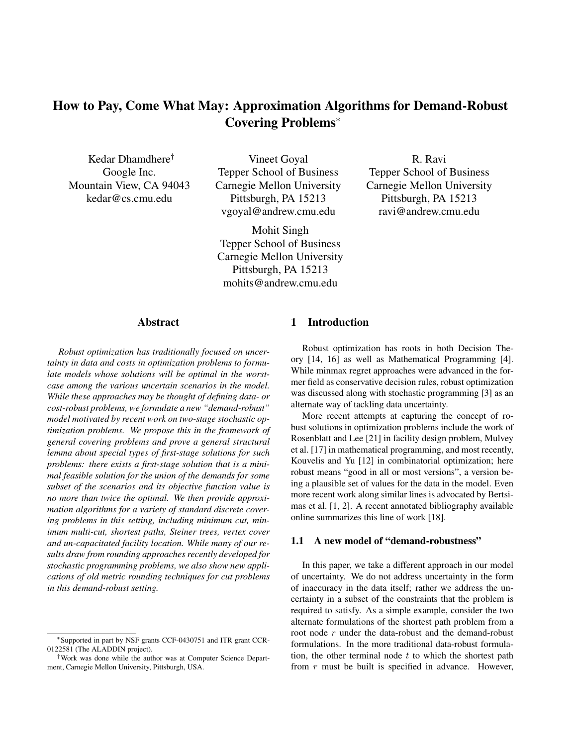# **How to Pay, Come What May: Approximation Algorithms for Demand-Robust Covering Problems**<sup>∗</sup>

Kedar Dhamdhere*†* Google Inc. Mountain View, CA 94043 kedar@cs.cmu.edu

Vineet Goyal Tepper School of Business Carnegie Mellon University Pittsburgh, PA 15213 vgoyal@andrew.cmu.edu

Mohit Singh Tepper School of Business Carnegie Mellon University Pittsburgh, PA 15213 mohits@andrew.cmu.edu

R. Ravi Tepper School of Business Carnegie Mellon University Pittsburgh, PA 15213 ravi@andrew.cmu.edu

# **Abstract**

*Robust optimization has traditionally focused on uncertainty in data and costs in optimization problems to formulate models whose solutions will be optimal in the worstcase among the various uncertain scenarios in the model. While these approaches may be thought of defining data- or cost-robust problems, we formulate a new "demand-robust" model motivated by recent work on two-stage stochastic optimization problems. We propose this in the framework of general covering problems and prove a general structural lemma about special types of first-stage solutions for such problems: there exists a first-stage solution that is a minimal feasible solution for the union of the demands for some subset of the scenarios and its objective function value is no more than twice the optimal. We then provide approximation algorithms for a variety of standard discrete covering problems in this setting, including minimum cut, minimum multi-cut, shortest paths, Steiner trees, vertex cover and un-capacitated facility location. While many of our results draw from rounding approaches recently developed for stochastic programming problems, we also show new applications of old metric rounding techniques for cut problems in this demand-robust setting.*

# **1 Introduction**

Robust optimization has roots in both Decision Theory [14, 16] as well as Mathematical Programming [4]. While minmax regret approaches were advanced in the former field as conservative decision rules, robust optimization was discussed along with stochastic programming [3] as an alternate way of tackling data uncertainty.

More recent attempts at capturing the concept of robust solutions in optimization problems include the work of Rosenblatt and Lee [21] in facility design problem, Mulvey et al. [17] in mathematical programming, and most recently, Kouvelis and Yu [12] in combinatorial optimization; here robust means "good in all or most versions", a version being a plausible set of values for the data in the model. Even more recent work along similar lines is advocated by Bertsimas et al. [1, 2]. A recent annotated bibliography available online summarizes this line of work [18].

### **1.1 A new model of "demand-robustness"**

In this paper, we take a different approach in our model of uncertainty. We do not address uncertainty in the form of inaccuracy in the data itself; rather we address the uncertainty in a subset of the constraints that the problem is required to satisfy. As a simple example, consider the two alternate formulations of the shortest path problem from a root node r under the data-robust and the demand-robust formulations. In the more traditional data-robust formulation, the other terminal node  $t$  to which the shortest path from  $r$  must be built is specified in advance. However,

<sup>∗</sup>Supported in part by NSF grants CCF-0430751 and ITR grant CCR-0122581 (The ALADDIN project).

<sup>†</sup>Work was done while the author was at Computer Science Department, Carnegie Mellon University, Pittsburgh, USA.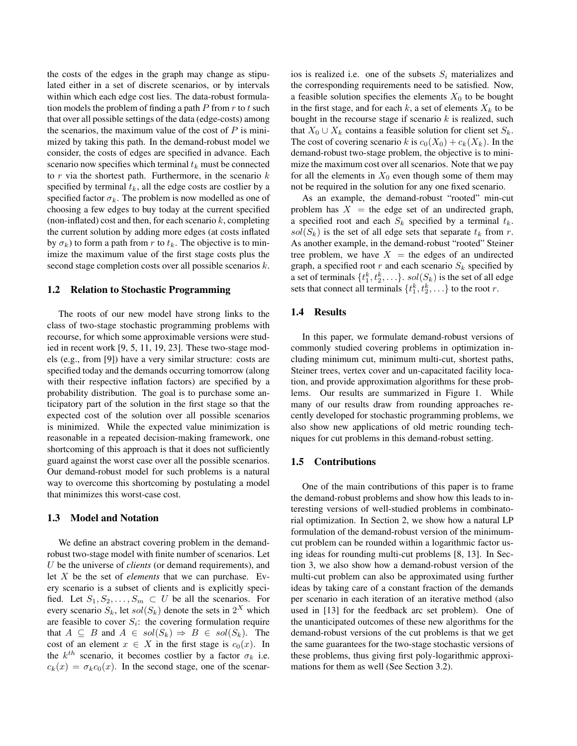the costs of the edges in the graph may change as stipulated either in a set of discrete scenarios, or by intervals within which each edge cost lies. The data-robust formulation models the problem of finding a path  $P$  from  $r$  to  $t$  such that over all possible settings of the data (edge-costs) among the scenarios, the maximum value of the cost of  $P$  is minimized by taking this path. In the demand-robust model we consider, the costs of edges are specified in advance. Each scenario now specifies which terminal  $t_k$  must be connected to  $r$  via the shortest path. Furthermore, in the scenario  $k$ specified by terminal  $t_k$ , all the edge costs are costlier by a specified factor  $\sigma_k$ . The problem is now modelled as one of choosing a few edges to buy today at the current specified (non-inflated) cost and then, for each scenario  $k$ , completing the current solution by adding more edges (at costs inflated by  $\sigma_k$ ) to form a path from r to  $t_k$ . The objective is to minimize the maximum value of the first stage costs plus the second stage completion costs over all possible scenarios k.

#### **1.2 Relation to Stochastic Programming**

The roots of our new model have strong links to the class of two-stage stochastic programming problems with recourse, for which some approximable versions were studied in recent work [9, 5, 11, 19, 23]. These two-stage models (e.g., from [9]) have a very similar structure: costs are specified today and the demands occurring tomorrow (along with their respective inflation factors) are specified by a probability distribution. The goal is to purchase some anticipatory part of the solution in the first stage so that the expected cost of the solution over all possible scenarios is minimized. While the expected value minimization is reasonable in a repeated decision-making framework, one shortcoming of this approach is that it does not sufficiently guard against the worst case over all the possible scenarios. Our demand-robust model for such problems is a natural way to overcome this shortcoming by postulating a model that minimizes this worst-case cost.

# **1.3 Model and Notation**

We define an abstract covering problem in the demandrobust two-stage model with finite number of scenarios. Let U be the universe of *clients* (or demand requirements), and let X be the set of *elements* that we can purchase. Every scenario is a subset of clients and is explicitly specified. Let  $S_1, S_2, \ldots, S_m \subset U$  be all the scenarios. For every scenario  $S_k$ , let  $sol(S_k)$  denote the sets in  $2^X$  which are feasible to cover  $S_i$ : the covering formulation require that  $A \subseteq B$  and  $A \in sol(S_k) \Rightarrow B \in sol(S_k)$ . The cost of an element  $x \in X$  in the first stage is  $c_0(x)$ . In the  $k^{th}$  scenario, it becomes costlier by a factor  $\sigma_k$  i.e.  $c_k(x) = \sigma_k c_0(x)$ . In the second stage, one of the scenarios is realized i.e. one of the subsets  $S_i$  materializes and the corresponding requirements need to be satisfied. Now, a feasible solution specifies the elements  $X_0$  to be bought in the first stage, and for each  $k$ , a set of elements  $X_k$  to be bought in the recourse stage if scenario  $k$  is realized, such that  $X_0 \cup X_k$  contains a feasible solution for client set  $S_k$ . The cost of covering scenario k is  $c_0(X_0) + c_k(X_k)$ . In the demand-robust two-stage problem, the objective is to minimize the maximum cost over all scenarios. Note that we pay for all the elements in  $X_0$  even though some of them may not be required in the solution for any one fixed scenario.

As an example, the demand-robust "rooted" min-cut problem has  $X =$  the edge set of an undirected graph, a specified root and each  $S_k$  specified by a terminal  $t_k$ .  $sol(S_k)$  is the set of all edge sets that separate  $t_k$  from r. As another example, in the demand-robust "rooted" Steiner tree problem, we have  $X =$  the edges of an undirected graph, a specified root r and each scenario  $S_k$  specified by a set of terminals  $\{t_1^k, t_2^k, \ldots\}$ . sol $(S_k)$  is the set of all edge<br>sets that connect all terminals  $f_k^k$ ,  $k$  and to the root r sets that connect all terminals  $\{t_1^k, t_2^k, \ldots\}$  to the root r.

#### **1.4 Results**

In this paper, we formulate demand-robust versions of commonly studied covering problems in optimization including minimum cut, minimum multi-cut, shortest paths, Steiner trees, vertex cover and un-capacitated facility location, and provide approximation algorithms for these problems. Our results are summarized in Figure 1. While many of our results draw from rounding approaches recently developed for stochastic programming problems, we also show new applications of old metric rounding techniques for cut problems in this demand-robust setting.

#### **1.5 Contributions**

One of the main contributions of this paper is to frame the demand-robust problems and show how this leads to interesting versions of well-studied problems in combinatorial optimization. In Section 2, we show how a natural LP formulation of the demand-robust version of the minimumcut problem can be rounded within a logarithmic factor using ideas for rounding multi-cut problems [8, 13]. In Section 3, we also show how a demand-robust version of the multi-cut problem can also be approximated using further ideas by taking care of a constant fraction of the demands per scenario in each iteration of an iterative method (also used in [13] for the feedback arc set problem). One of the unanticipated outcomes of these new algorithms for the demand-robust versions of the cut problems is that we get the same guarantees for the two-stage stochastic versions of these problems, thus giving first poly-logarithmic approximations for them as well (See Section 3.2).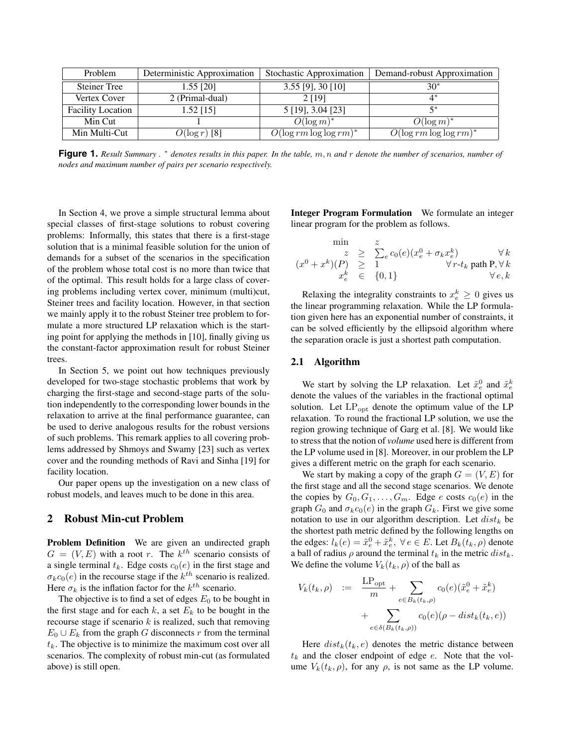| Problem                  | Deterministic Approximation | Stochastic Approximation    | Demand-robust Approximation |
|--------------------------|-----------------------------|-----------------------------|-----------------------------|
| <b>Steiner Tree</b>      | $1.55$ [20]                 | $3.55$ [9], $30$ [10]       | $30*$                       |
| Vertex Cover             | 2 (Primal-dual)             | 2 [19]                      | 4*                          |
| <b>Facility Location</b> | $1.52$ [15]                 | 5 [19], 3.04 [23]           | 5*                          |
| Min Cut                  |                             | $O(\log m)^*$               | $O(\log m)^*$               |
| Min Multi-Cut            | $O(\log r)$ [8]             | $O(\log rm \log \log rm)^*$ | $O(\log rm \log \log rm)^*$ |
|                          |                             |                             |                             |

**Figure 1.** *Result Summary .* <sup>∗</sup> *denotes results in this paper. In the table, m, n and r denote the number of scenarios, number of nodes and maximum number of pairs per scenario respectively.*

In Section 4, we prove a simple structural lemma about special classes of first-stage solutions to robust covering problems: Informally, this states that there is a first-stage solution that is a minimal feasible solution for the union of demands for a subset of the scenarios in the specification of the problem whose total cost is no more than twice that of the optimal. This result holds for a large class of covering problems including vertex cover, minimum (multi)cut, Steiner trees and facility location. However, in that section we mainly apply it to the robust Steiner tree problem to formulate a more structured LP relaxation which is the starting point for applying the methods in [10], finally giving us the constant-factor approximation result for robust Steiner trees.

In Section 5, we point out how techniques previously developed for two-stage stochastic problems that work by charging the first-stage and second-stage parts of the solution independently to the corresponding lower bounds in the relaxation to arrive at the final performance guarantee, can be used to derive analogous results for the robust versions of such problems. This remark applies to all covering problems addressed by Shmoys and Swamy [23] such as vertex cover and the rounding methods of Ravi and Sinha [19] for facility location.

Our paper opens up the investigation on a new class of robust models, and leaves much to be done in this area.

## **2 Robust Min-cut Problem**

**Problem Definition** We are given an undirected graph  $G = (V, E)$  with a root r. The  $k^{th}$  scenario consists of a single terminal  $t_k$ . Edge costs  $c_0(e)$  in the first stage and  $\sigma_k c_0(e)$  in the recourse stage if the  $k^{th}$  scenario is realized. Here  $\sigma_k$  is the inflation factor for the  $k^{th}$  scenario.

The objective is to find a set of edges  $E_0$  to be bought in the first stage and for each  $k$ , a set  $E_k$  to be bought in the recourse stage if scenario  $k$  is realized, such that removing  $E_0 \cup E_k$  from the graph G disconnects r from the terminal  $t_k$ . The objective is to minimize the maximum cost over all scenarios. The complexity of robust min-cut (as formulated above) is still open.

**Integer Program Formulation** We formulate an integer linear program for the problem as follows.

$$
\min_{\substack{z \\ (x^0 + x^k)(P) \geq 1}} \sum_{\substack{\geq \sum_e c_0(e) (x_e^0 + \sigma_k x_e^k) \\ x_e^k \in \{0, 1\}}} \forall k \\ \forall r \text{-} t_k \text{ path P}, \forall k \\ \forall e, k
$$

Relaxing the integrality constraints to  $x_e^k \geq 0$  gives us<br>linear programming relaxation. While the LP formulathe linear programming relaxation. While the LP formulation given here has an exponential number of constraints, it can be solved efficiently by the ellipsoid algorithm where the separation oracle is just a shortest path computation.

#### **2.1 Algorithm**

We start by solving the LP relaxation. Let  $\tilde{x}_e^0$  and  $\tilde{x}_e^k$  and  $\tilde{x}_e^k$ denote the values of the variables in the fractional optimal solution. Let  $LP_{\text{out}}$  denote the optimum value of the LP relaxation. To round the fractional LP solution, we use the region growing technique of Garg et al. [8]. We would like to stress that the notion of *volume* used here is different from the LP volume used in [8]. Moreover, in our problem the LP gives a different metric on the graph for each scenario.

We start by making a copy of the graph  $G = (V, E)$  for the first stage and all the second stage scenarios. We denote the copies by  $G_0, G_1, \ldots, G_m$ . Edge e costs  $c_0(e)$  in the graph  $G_0$  and  $\sigma_k c_0(e)$  in the graph  $G_k$ . First we give some notation to use in our algorithm description. Let  $dist_k$  be the shortest path metric defined by the following lengths on the edges:  $l_k(e) = \tilde{x}_e^0 + \tilde{x}_e^k$ ,  $\forall e \in E$ . Let  $B_k(t_k, \rho)$  denote a ball of radius  $\rho$  around the terminal  $t_k$  in the metric distinga ball of radius  $\rho$  around the terminal  $t_k$  in the metric  $dist_k$ . We define the volume  $V_k(t_k, \rho)$  of the ball as

$$
V_k(t_k, \rho) := \frac{\text{LP}_{\text{opt}}}{m} + \sum_{e \in B_k(t_k, \rho)} c_0(e)(\tilde{x}_e^0 + \tilde{x}_e^k)
$$

$$
+ \sum_{e \in \delta(B_k(t_k, \rho))} c_0(e)(\rho - dist_k(t_k, e))
$$

Here  $dist_k(t_k, e)$  denotes the metric distance between  $t_k$  and the closer endpoint of edge e. Note that the volume  $V_k(t_k, \rho)$ , for any  $\rho$ , is not same as the LP volume.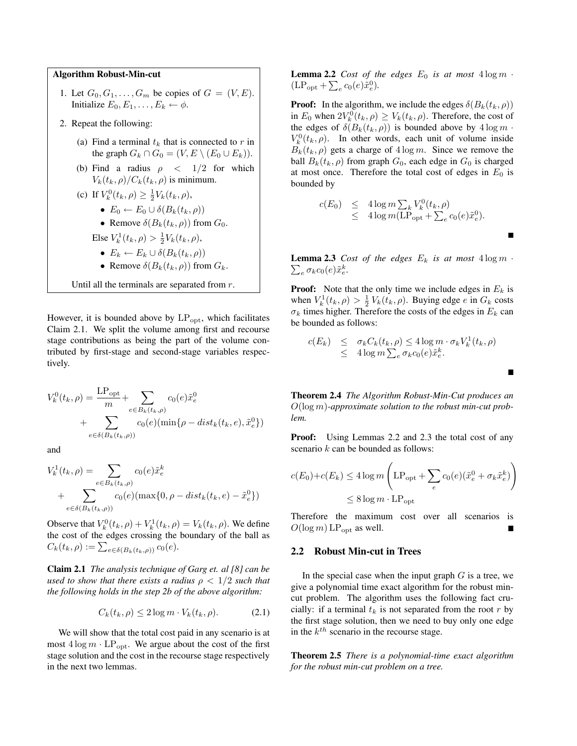**Algorithm Robust-Min-cut**

- 1. Let  $G_0, G_1, \ldots, G_m$  be copies of  $G = (V, E)$ . Initialize  $E_0, E_1, \ldots, E_k \leftarrow \phi$ .
- 2. Repeat the following:
	- (a) Find a terminal  $t_k$  that is connected to r in the graph  $G_k \cap G_0 = (V, E \setminus (E_0 \cup E_k)).$
	- (b) Find a radius  $\rho \leq 1/2$  for which  $V_k(t_k, \rho)/C_k(t_k, \rho)$  is minimum.

(c) If 
$$
V_k^0(t_k, \rho) \ge \frac{1}{2}V_k(t_k, \rho)
$$
,  
\n•  $E_0 \leftarrow E_0 \cup \delta(B_k(t_k, \rho))$   
\n• Remove  $\delta(B_k(t_k, \rho))$  from  $G_0$ .  
\nElse  $V_k^1(t_k, \rho) > \frac{1}{2}V_k(t_k, \rho)$ ,  
\n•  $E_k \leftarrow E_k \cup \delta(B_k(t_k, \rho))$ 

• Remove 
$$
\delta(B_k(t_k, \rho))
$$
 from  $G_k$ .



However, it is bounded above by  $LP_{\text{opt}}$ , which facilitates Claim 2.1. We split the volume among first and recourse stage contributions as being the part of the volume contributed by first-stage and second-stage variables respectively.

$$
V_k^0(t_k, \rho) = \frac{\text{LP}_{\text{opt}}}{m} + \sum_{e \in B_k(t_k, \rho)} c_0(e) \tilde{x}_e^0
$$
  
+ 
$$
\sum_{e \in \delta(B_k(t_k, \rho))} c_0(e) (\min\{\rho - dist_k(t_k, e), \tilde{x}_e^0\})
$$

and

$$
V_k^1(t_k, \rho) = \sum_{e \in B_k(t_k, \rho)} c_0(e) \tilde{x}_e^k + \sum_{e \in \delta(B_k(t_k, \rho))} c_0(e) (\max\{0, \rho - dist_k(t_k, e) - \tilde{x}_e^0\})
$$

Observe that  $V_k^0(t_k, \rho) + V_k^1(t_k, \rho) = V_k(t_k, \rho)$ . We define the cost of the edges crossing the boundary of the ball as  $C_k(t_k, \rho) := \sum_{e \in \delta(B_k(t_k, \rho))} c_0(e).$ 

**Claim 2.1** *The analysis technique of Garg et. al [8] can be used to show that there exists a radius*  $\rho < 1/2$  *such that the following holds in the step 2b of the above algorithm:*

$$
C_k(t_k, \rho) \le 2\log m \cdot V_k(t_k, \rho). \tag{2.1}
$$

We will show that the total cost paid in any scenario is at most  $4 \log m \cdot \text{LP}_{\text{opt}}$ . We argue about the cost of the first stage solution and the cost in the recourse stage respectively in the next two lemmas.

**Lemma 2.2** *Cost of the edges*  $E_0$  *is at most*  $4 \log m$  $(LP_{opt} + \sum_{e} c_0(e)\tilde{x}_{e}^0).$ 

**Proof:** In the algorithm, we include the edges  $\delta(B_k(t_k, \rho))$ in  $E_0$  when  $2V_k^0(t_k, \rho) \ge V_k(t_k, \rho)$ . Therefore, the cost of the edges of  $\delta(R, (t_k, \rho))$  is bounded above by  $\Lambda \log m$ . the edges of  $\delta(B_k(t_k, \rho))$  is bounded above by  $4 \log m$ .  $V_k^0(t_k, \rho)$ . In other words, each unit of volume inside<br>B.  $(t_k, \rho)$  gets a charge of  $\Lambda \log m$ . Since we remove the  $B_k(t_k, \rho)$  gets a charge of  $4 \log m$ . Since we remove the ball  $B_k(t_k, \rho)$  from graph  $G_0$ , each edge in  $G_0$  is charged at most once. Therefore the total cost of edges in  $E_0$  is bounded by

$$
c(E_0) \leq 4 \log m \sum_k V_k^0(t_k, \rho)
$$
  
 
$$
\leq 4 \log m (\mathop{\rm LP}_{\rm opt} + \sum_e c_0(e) \tilde{x}_e^0).
$$

**Lemma 2.3** *Cost of the edges*  $E_k$  *is at most*  $4 \log m$  ·<br> $\sum_{k} \sigma_k c_k (e) \tilde{\sigma}^k$  $\sum_{e} \sigma_k c_0(e) \tilde{x}_e^k$ .

**Proof:** Note that the only time we include edges in  $E_k$  is when  $V_k^1(t_k, \rho) > \frac{1}{2} V_k(t_k, \rho)$ . Buying edge e in  $G_k$  costs  $\sigma_k$ , times higher. Therefore the costs of the edges in  $F_k$  can  $\sigma_k$  times higher. Therefore the costs of the edges in  $E_k$  can be bounded as follows:

$$
c(E_k) \leq \sigma_k C_k(t_k, \rho) \leq 4 \log m \cdot \sigma_k V_k^1(t_k, \rho)
$$
  
 
$$
\leq 4 \log m \sum_{e} \sigma_k c_0(e) \tilde{x}_e^k.
$$

**Theorem 2.4** *The Algorithm Robust-Min-Cut produces an* <sup>O</sup>(log <sup>m</sup>)*-approximate solution to the robust min-cut problem.*

**Proof:** Using Lemmas 2.2 and 2.3 the total cost of any scenario  $k$  can be bounded as follows:

$$
c(E_0) + c(E_k) \le 4 \log m \left( LP_{\text{opt}} + \sum_e c_0(e) (\tilde{x}_e^0 + \sigma_k \tilde{x}_e^k) \right)
$$
  

$$
\le 8 \log m \cdot LP_{\text{opt}}
$$

Therefore the maximum cost over all scenarios is  $O(\log m) L P_{\text{opt}}$  as well.

#### **2.2 Robust Min-cut in Trees**

In the special case when the input graph  $G$  is a tree, we give a polynomial time exact algorithm for the robust mincut problem. The algorithm uses the following fact crucially: if a terminal  $t_k$  is not separated from the root r by the first stage solution, then we need to buy only one edge in the  $k^{th}$  scenario in the recourse stage.

**Theorem 2.5** *There is a polynomial-time exact algorithm for the robust min-cut problem on a tree.*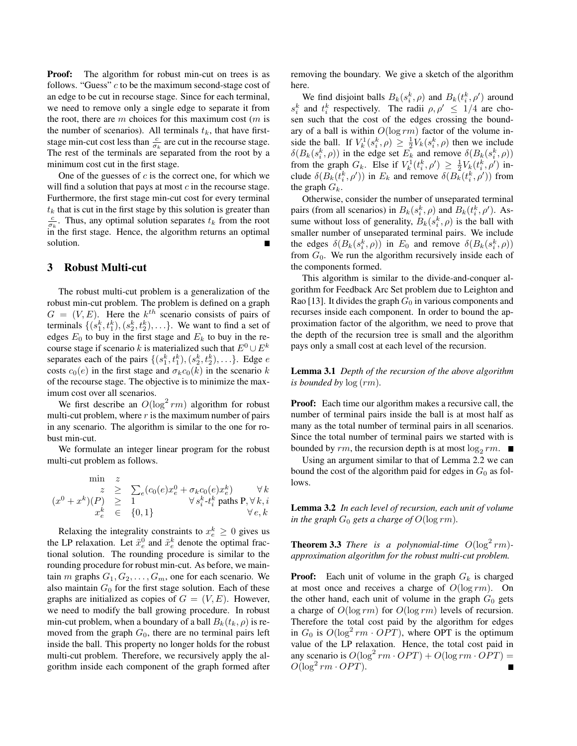**Proof:** The algorithm for robust min-cut on trees is as follows. "Guess"  $c$  to be the maximum second-stage cost of an edge to be cut in recourse stage. Since for each terminal, we need to remove only a single edge to separate it from the root, there are  $m$  choices for this maximum cost  $(m \text{ is } 1)$ the number of scenarios). All terminals  $t_k$ , that have firststage min-cut cost less than  $\frac{c}{\sigma_k}$  are cut in the recourse stage. The rest of the terminals are separated from the root by a minimum cost cut in the first stage.

One of the guesses of  $c$  is the correct one, for which we will find a solution that pays at most  $c$  in the recourse stage. Furthermore, the first stage min-cut cost for every terminal  $t_k$  that is cut in the first stage by this solution is greater than  $\frac{c}{\sigma_k}$ . Thus, any optimal solution separates  $t_k$  from the root in the first stage. Hence, the algorithm returns an optimal solution.

### **3 Robust Multi-cut**

The robust multi-cut problem is a generalization of the robust min-cut problem. The problem is defined on a graph  $G = (V, E)$ . Here the  $k^{th}$  scenario consists of pairs of terminals  $\{(s_1^k, t_1^k), (s_2^k, t_2^k), \ldots\}$ . We want to find a set of edges  $F_0$  to buy in the first stage and  $F_1$  to buy in the reedges  $E_0$  to buy in the first stage and  $E_k$  to buy in the recourse stage if scenario k is materialized such that  $E^0 \cup E^k$ separates each of the pairs  $\{(s_1^k, t_1^k), (s_2^k, t_2^k), \ldots\}$ . Edge e costs  $c_0(e)$  in the first stage and  $\sigma_k c_0(k)$  in the scenario k of the recourse stage. The objective is to minimize the maximum cost over all scenarios.

We first describe an  $O(\log^2 rm)$  algorithm for robust<br>lti-cut problem where r is the maximum number of pairs multi-cut problem, where  $r$  is the maximum number of pairs in any scenario. The algorithm is similar to the one for robust min-cut.

We formulate an integer linear program for the robust multi-cut problem as follows.

$$
\begin{array}{rcll} \min & z & & \\ & z & \geq & \sum_e (c_0(e) x_e^0 + \sigma_k c_0(e) x_e^k) & \forall \, k \\ (x^0 + x^k) (P) & \geq & 1 & \forall \, s_i^k - t_i^k \text{ paths } {\bf P}, \forall \, k, i \\ & x_e^k & \in & \{0,1\} & \forall \, e, k \end{array}
$$

Relaxing the integrality constraints to  $x_e^k \geq 0$  gives us<br>
I P relaxation Let  $\tilde{x}^0$  and  $\tilde{x}^k$  denote the optimal fracthe LP relaxation. Let  $\tilde{x}_{e}^{0}$  and  $\tilde{x}_{e}^{k}$  denote the optimal fractional solution. The rounding procedure is similar to the tional solution. The rounding procedure is similar to the rounding procedure for robust min-cut. As before, we maintain m graphs  $G_1, G_2, \ldots, G_m$ , one for each scenario. We also maintain  $G_0$  for the first stage solution. Each of these graphs are initialized as copies of  $G = (V, E)$ . However, we need to modify the ball growing procedure. In robust min-cut problem, when a boundary of a ball  $B_k(t_k, \rho)$  is removed from the graph  $G_0$ , there are no terminal pairs left inside the ball. This property no longer holds for the robust multi-cut problem. Therefore, we recursively apply the algorithm inside each component of the graph formed after removing the boundary. We give a sketch of the algorithm here.

We find disjoint balls  $B_k(s_i^k, \rho)$  and  $B_k(t_i^k, \rho')$  around<br>and  $t^k$  respectively. The radii  $a, a' \le 1/4$  are cho $s_i^k$  and  $t_i^k$  respectively. The radii  $\rho, \rho' \leq 1/4$  are cho-<br>sen such that the cost of the edges crossing the boundsen such that the cost of the edges crossing the boundary of a ball is within  $O(\log rm)$  factor of the volume inside the ball. If  $V_k^1(s_i^k, \rho) \geq \frac{1}{2} V_k(s_i^k, \rho)$  then we include  $\delta(R, (s_i^k, \rho))$  in the edge set  $F_k$  and remove  $\delta(R, (s_i^k, \rho))$  $\delta(B_k(s_i^k, \rho))$  in the edge set  $E_k$  and remove  $\delta(B_k(s_i^k, \rho))$ <br>from the graph  $G_k$ . Else if  $V^1(t^k, \rho') \geq 1 V_k(t^k, \rho')$  infrom the graph  $G_k$ . Else if  $V_k^1(t_i^k, \rho') \geq \frac{1}{2} V_k(t_i^k, \rho')$  in-<br>clude  $\delta(B_i(t_i^k, \rho'))$  in Equation properties  $\delta(B_i(t_i^k, \rho'))$  from clude  $\delta(B_k(\bar{t}_i^k, \rho'))$  in  $E_k$  and remove  $\delta(B_k(\bar{t}_i^k, \rho'))$  from the graph  $G_k$ .

Otherwise, consider the number of unseparated terminal pairs (from all scenarios) in  $B_k(s_k^k, \rho)$  and  $B_k(t_k^k, \rho')$ . As-<br>sume without loss of generality  $B_k(s_k^k, \rho)$  is the ball with sume without loss of generality,  $B_k(s_k^k, \rho)$  is the ball with smaller number of unsensated terminal pairs. We include smaller number of unseparated terminal pairs. We include the edges  $\delta(B_k(s_i^k, \rho))$  in  $E_0$  and remove  $\delta(B_k(s_i^k, \rho))$ <br>from  $G_0$ . We run the algorithm recursively inside each of from  $G_0$ . We run the algorithm recursively inside each of the components formed.

This algorithm is similar to the divide-and-conquer algorithm for Feedback Arc Set problem due to Leighton and Rao [13]. It divides the graph  $G_0$  in various components and recurses inside each component. In order to bound the approximation factor of the algorithm, we need to prove that the depth of the recursion tree is small and the algorithm pays only a small cost at each level of the recursion.

**Lemma 3.1** *Depth of the recursion of the above algorithm is bounded by* log (rm)*.*

**Proof:** Each time our algorithm makes a recursive call, the number of terminal pairs inside the ball is at most half as many as the total number of terminal pairs in all scenarios. Since the total number of terminal pairs we started with is bounded by rm, the recursion depth is at most  $\log_2 rm$ .

Using an argument similar to that of Lemma 2.2 we can bound the cost of the algorithm paid for edges in  $G_0$  as follows.

**Lemma 3.2** *In each level of recursion, each unit of volume in the graph*  $G_0$  *gets a charge of*  $O(\log rm)$ *.* 

**Theorem 3.3** *There is a polynomial-time*  $O(\log^2 rm)$ -<br>*annroximation algorithm for the robust multi-cut problem approximation algorithm for the robust multi-cut problem.*

**Proof:** Each unit of volume in the graph  $G_k$  is charged at most once and receives a charge of  $O(\log rm)$ . On the other hand, each unit of volume in the graph  $G_0$  gets a charge of  $O(\log rm)$  for  $O(\log rm)$  levels of recursion. Therefore the total cost paid by the algorithm for edges in  $G_0$  is  $O(\log^2 rm \cdot OPT)$ , where OPT is the optimum<br>value of the IP relaxation. Hence, the total cost paid in value of the LP relaxation. Hence, the total cost paid in any scenario is  $O(\log^2 rm \cdot OPT) + O(\log rm \cdot OPT) = O(\log^2 rm \cdot OPT)$  $O(\log^2 rm \cdot OPT).$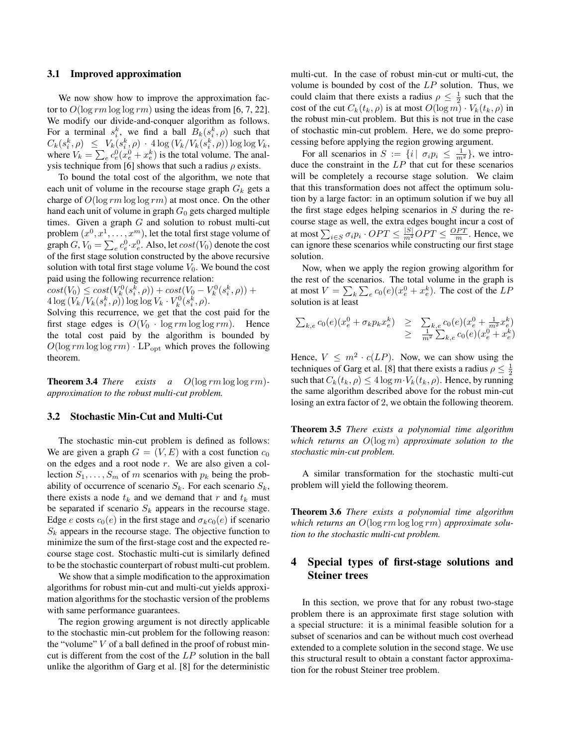#### **3.1 Improved approximation**

We now show how to improve the approximation factor to  $O(\log rm \log \log rm)$  using the ideas from [6, 7, 22]. We modify our divide-and-conquer algorithm as follows. For a terminal  $s_i^k$ , we find a ball  $B_k(s_i^k, \rho)$  such that  $C_k(s_i^k, \rho) \leq V_k(s_i^k, \rho) \cdot A \log(V_k/V_k(s_i^k, \rho)) \log \log V_k$  $C_k(s_i^k, \rho) \leq V_k(s_i^k, \rho) \cdot 4 \log(V_k/V_k(s_i^k, \rho)) \log \log V_k$ <br>where  $V_i = \sum_{k=0}^{N} c_k^0(s_i^k, \rho)$  is the total volume. The analwhere  $V_k = \sum_e c_e^0 (x_e^0 + x_e^k)$  is the total volume. The anal-<br>vsis technique from [6] shows that such a radius e exists ysis technique from [6] shows that such a radius  $\rho$  exists.

To bound the total cost of the algorithm, we note that each unit of volume in the recourse stage graph  $G_k$  gets a charge of  $O(\log rm)$  log log rm) at most once. On the other hand each unit of volume in graph  $G_0$  gets charged multiple times. Given a graph  $G$  and solution to robust multi-cut problem  $(x^0, x^1, \ldots, x^m)$ , let the total first stage volume of graph  $G: V_a = \sum_{n=0}^{\infty} x^0$ . Also, let  $cost(V_a)$  denote the cost graph  $G, V_0 = \sum_e c_e^0 \cdot x_e^0$ . Also, let  $cost(V_0)$  denote the cost of the first stage solution constructed by the above recursive of the first stage solution constructed by the above recursive solution with total first stage volume  $V_0$ . We bound the cost paid using the following recurrence relation:

 $cost(V_0) \leq cost(V_k^0(s_i^{\bar{k}}, \rho)) + cost(V_0 - V_k^0(s_i^k, \rho)) +$ <br>  $4 \log(V_1/V_1(s_i^k, \rho)) \log \log V_1 \cdot V_1^0(s_i^k, \rho)$  $4\log\left(\frac{V_k}{V_k(s_i^k,\rho)}\right)\log\log V_k\cdot V_k^0(s_i^k,\rho).$ <br>Solving this recurrence, we get that the c

Solving this recurrence, we get that the cost paid for the first stage edges is  $O(V_0 \cdot \log rm \log \log rm)$ . Hence the total cost paid by the algorithm is bounded by  $O(\log rm \log \log rm) \cdot \text{LP}_{\text{opt}}$  which proves the following theorem.

**Theorem 3.4** *There exists a* <sup>O</sup>(log rm log log rm)*- approximation to the robust multi-cut problem.*

### **3.2 Stochastic Min-Cut and Multi-Cut**

The stochastic min-cut problem is defined as follows: We are given a graph  $G = (V, E)$  with a cost function  $c_0$ on the edges and a root node  $r$ . We are also given a collection  $S_1, \ldots, S_m$  of m scenarios with  $p_k$  being the probability of occurrence of scenario  $S_k$ . For each scenario  $S_k$ , there exists a node  $t_k$  and we demand that r and  $t_k$  must be separated if scenario  $S_k$  appears in the recourse stage. Edge e costs  $c_0(e)$  in the first stage and  $\sigma_k c_0(e)$  if scenario  $S_k$  appears in the recourse stage. The objective function to minimize the sum of the first-stage cost and the expected recourse stage cost. Stochastic multi-cut is similarly defined to be the stochastic counterpart of robust multi-cut problem.

We show that a simple modification to the approximation algorithms for robust min-cut and multi-cut yields approximation algorithms for the stochastic version of the problems with same performance guarantees.

The region growing argument is not directly applicable to the stochastic min-cut problem for the following reason: the "volume"  $V$  of a ball defined in the proof of robust mincut is different from the cost of the LP solution in the ball unlike the algorithm of Garg et al. [8] for the deterministic multi-cut. In the case of robust min-cut or multi-cut, the volume is bounded by cost of the  $LP$  solution. Thus, we could claim that there exists a radius  $\rho \leq \frac{1}{2}$  such that the cost of the cut  $C_k(t_k, \rho)$  is at most  $O(\log m) \cdot V_k(t_k, \rho)$  in the robust min-cut problem. But this is not true in the case of stochastic min-cut problem. Here, we do some preprocessing before applying the region growing argument.

For all scenarios in  $S := \{i \mid \sigma_i p_i \leq \frac{1}{m^2}\}$ , we introduce the constraint in the  $LP$  that cut for these scenarios will be completely a recourse stage solution. We claim that this transformation does not affect the optimum solution by a large factor: in an optimum solution if we buy all the first stage edges helping scenarios in  $S$  during the recourse stage as well, the extra edges bought incur a cost of at most  $\sum_{i \in S} \sigma_i p_i \cdot OPT \leq \frac{|S|}{m^2} OPT \leq \frac{OPT}{m}$ . Hence, we can ignore these scenarios while constructing our first stage solution.

Now, when we apply the region growing algorithm for the rest of the scenarios. The total volume in the graph is at most  $V = \sum_k \sum_e c_0(e)(x_e^0 + x_e^k)$ . The cost of the LF solution is at least

$$
\sum_{k,e} c_0(e)(x_e^0 + \sigma_k p_k x_e^k) \ge \sum_{\substack{k,e\\ m^2}} c_0(e)(x_e^0 + \frac{1}{m^2} x_e^k)
$$
  
 
$$
\ge \frac{1}{m^2} \sum_{k,e} c_0(e)(x_e^0 + x_e^k)
$$

Hence,  $V \n\leq m^2 \cdot c(LP)$ . Now, we can show using the techniques of Garg et al. [8] that there exists a radius  $\rho \leq \frac{1}{2}$ such that  $C_k(t_k, \rho) \leq 4 \log m \cdot V_k(t_k, \rho)$ . Hence, by running the same algorithm described above for the robust min-cut losing an extra factor of 2, we obtain the following theorem.

**Theorem 3.5** *There exists a polynomial time algorithm which returns an* <sup>O</sup>(log <sup>m</sup>) *approximate solution to the stochastic min-cut problem.*

A similar transformation for the stochastic multi-cut problem will yield the following theorem.

**Theorem 3.6** *There exists a polynomial time algorithm which returns an* <sup>O</sup>(log rm log log rm) *approximate solution to the stochastic multi-cut problem.*

# **4 Special types of first-stage solutions and Steiner trees**

In this section, we prove that for any robust two-stage problem there is an approximate first stage solution with a special structure: it is a minimal feasible solution for a subset of scenarios and can be without much cost overhead extended to a complete solution in the second stage. We use this structural result to obtain a constant factor approximation for the robust Steiner tree problem.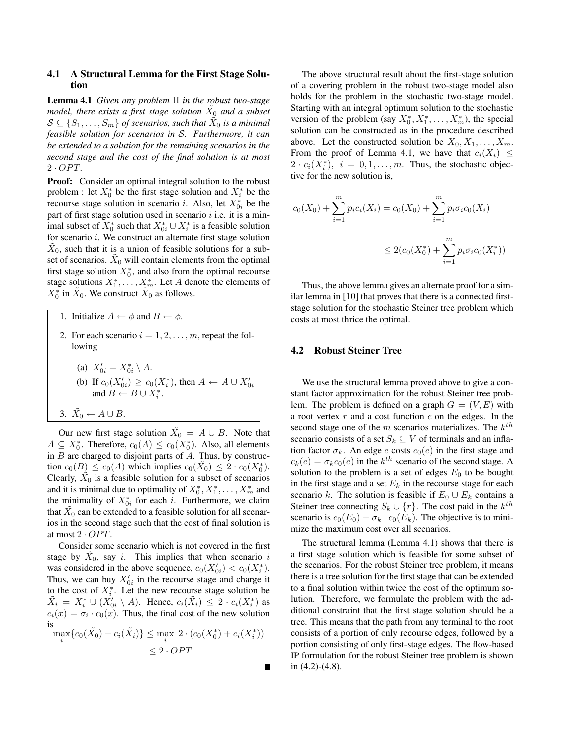## **4.1 A Structural Lemma for the First Stage Solution**

**Lemma 4.1** *Given any problem* Π *in the robust two-stage model, there exists a first stage solution*  $X_0$  *and a subset*  $S \subseteq \{S_1,\ldots,S_m\}$  of scenarios, such that  $\tilde{X}_0$  is a minimal *feasible solution for scenarios in* S*. Furthermore, it can be extended to a solution for the remaining scenarios in the second stage and the cost of the final solution is at most* 2 · OPT*.*

**Proof:** Consider an optimal integral solution to the robust problem : let  $X_0^*$  be the first stage solution and  $X_i^*$  be the recourse stage solution in scenario *i*. Also, let  $X_{0i}^*$  be the part of first stage solution used in scenario  $i$  i.e. it is a minimal subset of  $\overline{X_0^*}$  such that  $X_{0i}^* \cup X_i^*$  is a feasible solution for scenario i. We construct an alternate first stage solution  $\tilde{X}_0$ , such that it is a union of feasible solutions for a subset of scenarios.  $\tilde{X}_0$  will contain elements from the optimal first stage solution  $X_0^*$ , and also from the optimal recourse stage solutions  $X_1^*, \ldots, X_m^*$ . Let A denote the elements of  $X_0^*$  in  $\tilde{X}_0$ . We construct  $\tilde{X}_0$  as follows.

1. Initialize  $A \leftarrow \phi$  and  $B \leftarrow \phi$ .

- 2. For each scenario  $i = 1, 2, \ldots, m$ , repeat the following
	- (a)  $X'_{0i} = X^*_{0i} \setminus A$ .
	- (b) If  $c_0(X'_{0i}) \ge c_0(X_i^*)$ , then  $A \leftarrow A \cup X'_{0i}$ <br>and  $B \leftarrow B \cup X_i^*$ .

$$
\mathbf{3.} \ \tilde{X_0} \leftarrow A \cup B.
$$

Our new first stage solution  $\tilde{X}_0 = A \cup B$ . Note that  $A \subseteq X_0^*$ . Therefore,  $c_0(A) \leq c_0(X_0^*)$ . Also, all elements in  $B$  are charged to disjoint parts of  $A$ . Thus, by construcin  $B$  are charged to disjoint parts of  $A$ . Thus, by construction  $c_0(B) \leq c_0(A)$  which implies  $c_0(\tilde{X}_0) \leq 2 \cdot c_0(X_0^*)$ .<br>Clearly  $\tilde{X}_0$  is a feasible solution for a subset of scenarios Clearly,  $X_0$  is a feasible solution for a subset of scenarios and it is minimal due to optimality of  $X_0^*, X_1^*, \ldots, X_m^*$  and the minimality of  $X_{0i}^*$  for each i. Furthermore, we claim that  $X_0$  can be extended to a feasible solution for all scenarios in the second stage such that the cost of final solution is at most  $2 \cdot OPT$ .

Consider some scenario which is not covered in the first stage by  $X_0$ , say i. This implies that when scenario i was considered in the above sequence,  $c_0(X_{0i}') < c_0(X_i^*)$ .<br>Thus, we can buy  $X'$  in the recourse stage and charge it. Thus, we can buy  $X_{0i}'$  in the recourse stage and charge it to the cost of  $X_i^*$ . Let the new recourse stage solution be  $\tilde{X}_i = X_i^* \cup (\tilde{X}_{0i} \setminus A)$ . Hence,  $c_i(\tilde{X}_i) \leq 2 \cdot c_i(X_i^*)$  as  $c_i(x) = \sigma_i \cdot c_0(x)$ . Thus, the final cost of the new solution is

$$
\max_{i} \{c_0(\tilde{X}_0) + c_i(\tilde{X}_i)\} \le \max_{i} 2 \cdot (c_0(X_0^*) + c_i(X_i^*))
$$
  

$$
\le 2 \cdot OPT
$$

The above structural result about the first-stage solution of a covering problem in the robust two-stage model also holds for the problem in the stochastic two-stage model. Starting with an integral optimum solution to the stochastic version of the problem (say  $X_0^*, X_1^*, \ldots, X_m^*$ ), the special solution can be constructed as in the procedure described above. Let the constructed solution be  $X_0, X_1, \ldots, X_m$ . From the proof of Lemma 4.1, we have that  $c_i(X_i) \leq$  $2 \cdot c_i(X_i^*)$ ,  $i = 0, 1, \ldots, m$ . Thus, the stochastic objective for the new solution is tive for the new solution is,

$$
c_0(X_0) + \sum_{i=1}^{m} p_i c_i(X_i) = c_0(X_0) + \sum_{i=1}^{m} p_i \sigma_i c_0(X_i)
$$
  

$$
\leq 2(c_0(X_0^*) + \sum_{i=1}^{m} p_i \sigma_i c_0(X_i^*))
$$

Thus, the above lemma gives an alternate proof for a similar lemma in [10] that proves that there is a connected firststage solution for the stochastic Steiner tree problem which costs at most thrice the optimal.

#### **4.2 Robust Steiner Tree**

We use the structural lemma proved above to give a constant factor approximation for the robust Steiner tree problem. The problem is defined on a graph  $G = (V, E)$  with a root vertex  $r$  and a cost function  $c$  on the edges. In the second stage one of the m scenarios materializes. The  $k^{th}$ scenario consists of a set  $S_k \subseteq V$  of terminals and an inflation factor  $\sigma_k$ . An edge e costs  $c_0(e)$  in the first stage and  $c_k(e) = \sigma_k c_0(e)$  in the  $k^{th}$  scenario of the second stage. A solution to the problem is a set of edges  $E_0$  to be bought in the first stage and a set  $E_k$  in the recourse stage for each scenario k. The solution is feasible if  $E_0 \cup E_k$  contains a Steiner tree connecting  $S_k \cup \{r\}$ . The cost paid in the  $k^{th}$ scenario is  $c_0(E_0) + \sigma_k \cdot c_0(E_k)$ . The objective is to minimize the maximum cost over all scenarios.

The structural lemma (Lemma 4.1) shows that there is a first stage solution which is feasible for some subset of the scenarios. For the robust Steiner tree problem, it means there is a tree solution for the first stage that can be extended to a final solution within twice the cost of the optimum solution. Therefore, we formulate the problem with the additional constraint that the first stage solution should be a tree. This means that the path from any terminal to the root consists of a portion of only recourse edges, followed by a portion consisting of only first-stage edges. The flow-based IP formulation for the robust Steiner tree problem is shown in (4.2)-(4.8).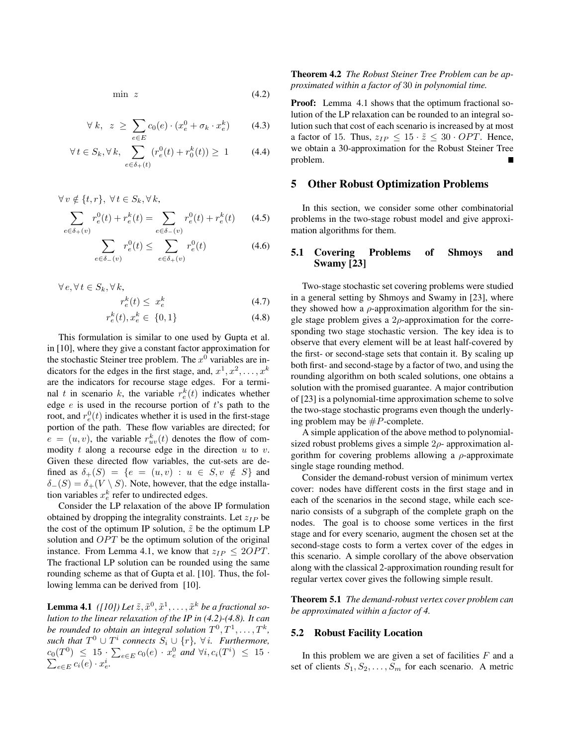$$
\min \, z \tag{4.2}
$$

$$
\forall k, \ z \ge \sum_{e \in E} c_0(e) \cdot (x_e^0 + \sigma_k \cdot x_e^k) \tag{4.3}
$$

$$
\forall t \in S_k, \forall k, \sum_{e \in \delta_+(t)} (r_e^0(t) + r_0^k(t)) \ge 1 \tag{4.4}
$$

$$
\forall v \notin \{t, r\}, \forall t \in S_k, \forall k,
$$

$$
\sum_{e \in \delta_+(v)} r_e^0(t) + r_e^k(t) = \sum_{e \in \delta_-(v)} r_e^0(t) + r_e^k(t) \qquad (4.5)
$$

$$
\sum_{e \in \delta_{-}(v)} r_e^0(t) \le \sum_{e \in \delta_{+}(v)} r_e^0(t) \tag{4.6}
$$

$$
\forall e, \forall t \in S_k, \forall k, \n r_e^k(t) \leq x_e^k
$$
\n(4.7)

$$
r_e^k(t), x_e^k \in \{0, 1\} \tag{4.8}
$$

This formulation is similar to one used by Gupta et al. in [10], where they give a constant factor approximation for the stochastic Steiner tree problem. The  $x^0$  variables are indicators for the edges in the first stage, and,  $x^1, x^2, \ldots, x^k$ are the indicators for recourse stage edges. For a terminal t in scenario k, the variable  $r_e^k(t)$  indicates whether edge  $e$  is used in the recourse portion of t's path to the root, and  $r_e^0(t)$  indicates whether it is used in the first-stage<br>portion of the path. These flow variables are directed: for portion of the path. These flow variables are directed; for  $e = (u, v)$ , the variable  $r_{uv}^k(t)$  denotes the flow of com-<br>modity t along a recourse edge in the direction u to u modity  $t$  along a recourse edge in the direction  $u$  to  $v$ . Given these directed flow variables, the cut-sets are defined as  $\delta_+(S) = \{e = (u, v) : u \in S, v \notin S\}$  and  $\delta_{-}(S) = \delta_{+}(V \setminus S)$ . Note, however, that the edge installation variables  $x_e^k$  refer to undirected edges.

Consider the LP relaxation of the above IP formulation obtained by dropping the integrality constraints. Let  $z_{IP}$  be the cost of the optimum IP solution,  $\tilde{z}$  be the optimum LP solution and *OPT* be the optimum solution of the original instance. From Lemma 4.1, we know that  $z_{IP} \leq 2OPT$ . The fractional LP solution can be rounded using the same rounding scheme as that of Gupta et al. [10]. Thus, the following lemma can be derived from [10].

**Lemma 4.1** *([10])* Let  $\tilde{z}, \tilde{x}^0, \tilde{x}^1, \ldots, \tilde{x}^k$  be a fractional so*lution to the linear relaxation of the IP in (4.2)-(4.8). It can be rounded to obtain an integral solution*  $T^0, T^1, \ldots, T^k$ , *such that*  $T^0 \cup T^i$  *connects*  $S_i \cup \{r\}$ ,  $\forall i$ *. Furthermore,*  $c_0(T^0) \leq 15 \cdot \sum_{e \in E} c_0(e) \cdot x_e^0$  and  $\forall i, c_i(T^i) \leq 15$ .  $\sum_{e\in E} c_i(e) \cdot x_e^i$ .

**Theorem 4.2** *The Robust Steiner Tree Problem can be approximated within a factor of* 30 *in polynomial time.*

**Proof:** Lemma 4.1 shows that the optimum fractional solution of the LP relaxation can be rounded to an integral solution such that cost of each scenario is increased by at most a factor of 15. Thus,  $z_{IP} \leq 15 \cdot \tilde{z} \leq 30 \cdot OPT$ . Hence, we obtain a 30-approximation for the Robust Steiner Tree problem.

### **5 Other Robust Optimization Problems**

In this section, we consider some other combinatorial problems in the two-stage robust model and give approximation algorithms for them.

# **5.1 Covering Problems of Shmoys and Swamy [23]**

Two-stage stochastic set covering problems were studied in a general setting by Shmoys and Swamy in [23], where they showed how a  $\rho$ -approximation algorithm for the single stage problem gives a  $2\rho$ -approximation for the corresponding two stage stochastic version. The key idea is to observe that every element will be at least half-covered by the first- or second-stage sets that contain it. By scaling up both first- and second-stage by a factor of two, and using the rounding algorithm on both scaled solutions, one obtains a solution with the promised guarantee. A major contribution of [23] is a polynomial-time approximation scheme to solve the two-stage stochastic programs even though the underlying problem may be  $\#P$ -complete.

A simple application of the above method to polynomialsized robust problems gives a simple  $2\rho$ - approximation algorithm for covering problems allowing a  $\rho$ -approximate single stage rounding method.

Consider the demand-robust version of minimum vertex cover: nodes have different costs in the first stage and in each of the scenarios in the second stage, while each scenario consists of a subgraph of the complete graph on the nodes. The goal is to choose some vertices in the first stage and for every scenario, augment the chosen set at the second-stage costs to form a vertex cover of the edges in this scenario. A simple corollary of the above observation along with the classical 2-approximation rounding result for regular vertex cover gives the following simple result.

**Theorem 5.1** *The demand-robust vertex cover problem can be approximated within a factor of 4.*

#### **5.2 Robust Facility Location**

In this problem we are given a set of facilities  $F$  and a set of clients  $S_1, S_2, \ldots, S_m$  for each scenario. A metric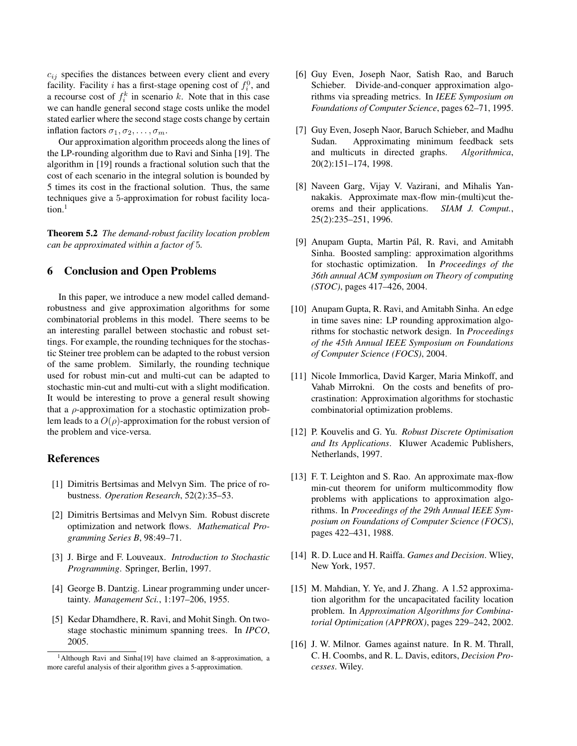$c_{ij}$  specifies the distances between every client and every facility. Facility *i* has a first-stage opening cost of  $f_i^0$ , and a recourse cost of  $f_i^k$  in scenario k. Note that in this case we can handle general second stage costs unlike the model stated earlier where the second stage costs change by certain inflation factors  $\sigma_1, \sigma_2, \ldots, \sigma_m$ .

Our approximation algorithm proceeds along the lines of the LP-rounding algorithm due to Ravi and Sinha [19]. The algorithm in [19] rounds a fractional solution such that the cost of each scenario in the integral solution is bounded by 5 times its cost in the fractional solution. Thus, the same techniques give a 5-approximation for robust facility location.<sup>1</sup>

**Theorem 5.2** *The demand-robust facility location problem can be approximated within a factor of* 5*.*

# **6 Conclusion and Open Problems**

In this paper, we introduce a new model called demandrobustness and give approximation algorithms for some combinatorial problems in this model. There seems to be an interesting parallel between stochastic and robust settings. For example, the rounding techniques for the stochastic Steiner tree problem can be adapted to the robust version of the same problem. Similarly, the rounding technique used for robust min-cut and multi-cut can be adapted to stochastic min-cut and multi-cut with a slight modification. It would be interesting to prove a general result showing that a  $\rho$ -approximation for a stochastic optimization problem leads to a  $O(\rho)$ -approximation for the robust version of the problem and vice-versa.

# **References**

- [1] Dimitris Bertsimas and Melvyn Sim. The price of robustness. *Operation Research*, 52(2):35–53.
- [2] Dimitris Bertsimas and Melvyn Sim. Robust discrete optimization and network flows. *Mathematical Programming Series B*, 98:49–71.
- [3] J. Birge and F. Louveaux. *Introduction to Stochastic Programming*. Springer, Berlin, 1997.
- [4] George B. Dantzig. Linear programming under uncertainty. *Management Sci.*, 1:197–206, 1955.
- [5] Kedar Dhamdhere, R. Ravi, and Mohit Singh. On twostage stochastic minimum spanning trees. In *IPCO*, 2005.
- [6] Guy Even, Joseph Naor, Satish Rao, and Baruch Schieber. Divide-and-conquer approximation algorithms via spreading metrics. In *IEEE Symposium on Foundations of Computer Science*, pages 62–71, 1995.
- [7] Guy Even, Joseph Naor, Baruch Schieber, and Madhu Sudan. Approximating minimum feedback sets and multicuts in directed graphs. *Algorithmica*, 20(2):151–174, 1998.
- [8] Naveen Garg, Vijay V. Vazirani, and Mihalis Yannakakis. Approximate max-flow min-(multi)cut theorems and their applications. *SIAM J. Comput.*, 25(2):235–251, 1996.
- [9] Anupam Gupta, Martin Pál, R. Ravi, and Amitabh Sinha. Boosted sampling: approximation algorithms for stochastic optimization. In *Proceedings of the 36th annual ACM symposium on Theory of computing (STOC)*, pages 417–426, 2004.
- [10] Anupam Gupta, R. Ravi, and Amitabh Sinha. An edge in time saves nine: LP rounding approximation algorithms for stochastic network design. In *Proceedings of the 45th Annual IEEE Symposium on Foundations of Computer Science (FOCS)*, 2004.
- [11] Nicole Immorlica, David Karger, Maria Minkoff, and Vahab Mirrokni. On the costs and benefits of procrastination: Approximation algorithms for stochastic combinatorial optimization problems.
- [12] P. Kouvelis and G. Yu. *Robust Discrete Optimisation and Its Applications*. Kluwer Academic Publishers, Netherlands, 1997.
- [13] F. T. Leighton and S. Rao. An approximate max-flow min-cut theorem for uniform multicommodity flow problems with applications to approximation algorithms. In *Proceedings of the 29th Annual IEEE Symposium on Foundations of Computer Science (FOCS)*, pages 422–431, 1988.
- [14] R. D. Luce and H. Raiffa. *Games and Decision*. Wliey, New York, 1957.
- [15] M. Mahdian, Y. Ye, and J. Zhang. A 1.52 approximation algorithm for the uncapacitated facility location problem. In *Approximation Algorithms for Combinatorial Optimization (APPROX)*, pages 229–242, 2002.
- [16] J. W. Milnor. Games against nature. In R. M. Thrall, C. H. Coombs, and R. L. Davis, editors, *Decision Processes*. Wiley.

<sup>&</sup>lt;sup>1</sup>Although Ravi and Sinha<sup>[19]</sup> have claimed an 8-approximation, a more careful analysis of their algorithm gives a 5-approximation.